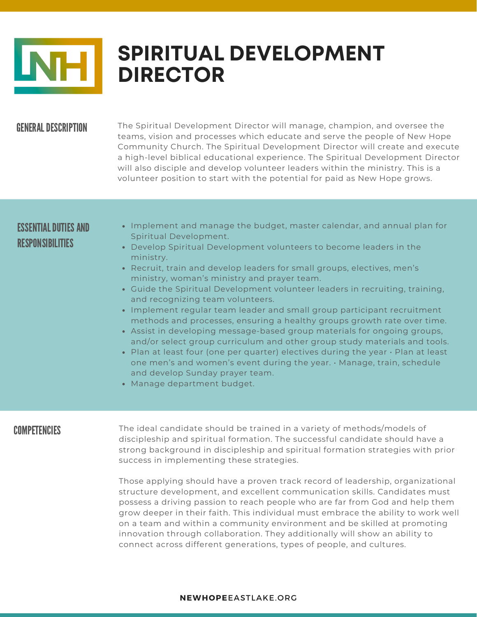

# **SPIRITUAL DEVELOPMENT DIRECTOR**

### **GENERAL DESCRIPTION**

The Spiritual Development Director will manage, champion, and oversee the teams, vision and processes which educate and serve the people of New Hope Community Church. The Spiritual Development Director will create and execute a high-level biblical educational experience. The Spiritual Development Director will also disciple and develop volunteer leaders within the ministry. This is a volunteer position to start with the potential for paid as New Hope grows.

## ESSENTIAL DUTIES AND RESPONSIBILITIES

- Implement and manage the budget, master calendar, and annual plan for Spiritual Development.
- Develop Spiritual Development volunteers to become leaders in the ministry.
- Recruit, train and develop leaders for small groups, electives, men's ministry, woman's ministry and prayer team.
- Guide the Spiritual Development volunteer leaders in recruiting, training, and recognizing team volunteers.
- Implement regular team leader and small group participant recruitment methods and processes, ensuring a healthy groups growth rate over time.
- Assist in developing message-based group materials for ongoing groups, and/or select group curriculum and other group study materials and tools.
- Plan at least four (one per quarter) electives during the year  $\cdot$  Plan at least one men's and women's event during the year. • Manage, train, schedule and develop Sunday prayer team.
- Manage department budget.

### **COMPETENCIES**

The ideal candidate should be trained in a variety of methods/models of discipleship and spiritual formation. The successful candidate should have a strong background in discipleship and spiritual formation strategies with prior success in implementing these strategies.

Those applying should have a proven track record of leadership, organizational structure development, and excellent communication skills. Candidates must possess a driving passion to reach people who are far from God and help them grow deeper in their faith. This individual must embrace the ability to work well on a team and within a community environment and be skilled at promoting innovation through collaboration. They additionally will show an ability to connect across different generations, types of people, and cultures.

#### **NEWHOPE**EASTLAKE.ORG